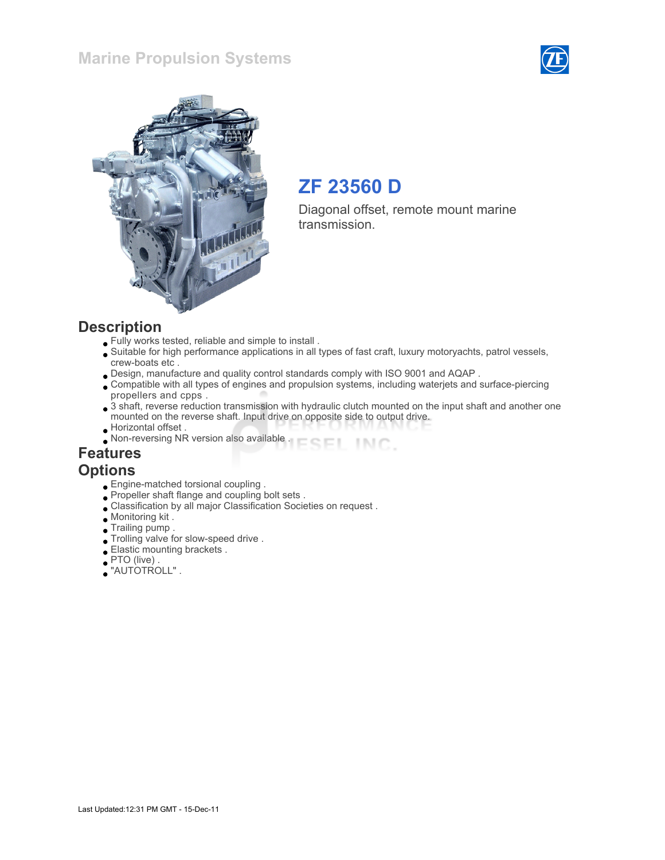#### Marine Propulsion Systems





# ZF 23560 D

Diagonal offset, remote mount marine transmission.

#### **Description**

- Fully works tested, reliable and simple to install .
- Suitable for high performance applications in all types of fast craft, luxury motoryachts, patrol vessels, crew-boats etc .
- Design, manufacture and quality control standards comply with ISO 9001 and AQAP .
- Compatible with all types of engines and propulsion systems, including waterjets and surface-piercing propellers and cpps .
- 3 shaft, reverse reduction transmission with hydraulic clutch mounted on the input shaft and another one mounted on the reverse shaft. Input drive on opposite side to output drive.
- Horizontal offset .
- Non-reversing NR version also available . INC.

#### Features **Options**

- Engine-matched torsional coupling .
- Propeller shaft flange and coupling bolt sets .
- Classification by all major Classification Societies on request .
- Monitoring kit .
- Trailing pump .
- Trolling valve for slow-speed drive .
- Elastic mounting brackets .
- $\bullet$  PTO (live)
- "AUTOTROLL" .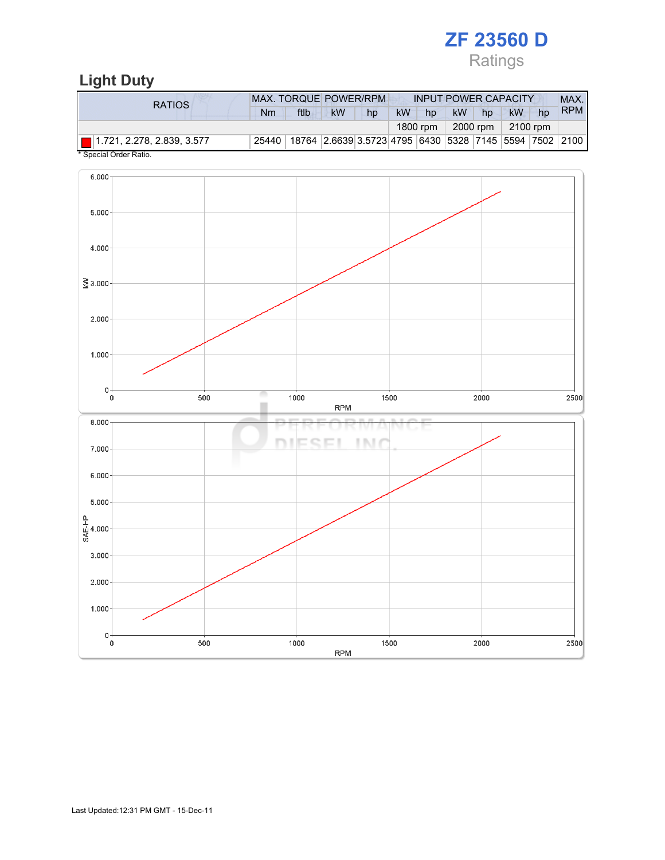# ZF 23560 D Ratings

# Light Duty

| RATIOS                    | <b>MAX. TORQUE POWER/RPM</b> |                                                                |           |    |           | <b>INPUT POWER CAPACITY</b> |           |          |           |    |            |
|---------------------------|------------------------------|----------------------------------------------------------------|-----------|----|-----------|-----------------------------|-----------|----------|-----------|----|------------|
|                           | Nm                           | ftlb                                                           | <b>kW</b> | hp | <b>kW</b> | hp                          | <b>kW</b> | hp       | <b>kW</b> | hp | <b>RPM</b> |
|                           |                              |                                                                |           |    |           | 1800 rpm                    |           | 2000 rpm | 2100 rpm  |    |            |
| $*$ 0. $*$ 10. $*$ 0. $*$ | 25440                        | 18764  2.6639 3.5723 4795  6430  5328  7145  5594  7502   2100 |           |    |           |                             |           |          |           |    |            |

Special Order Ratio.

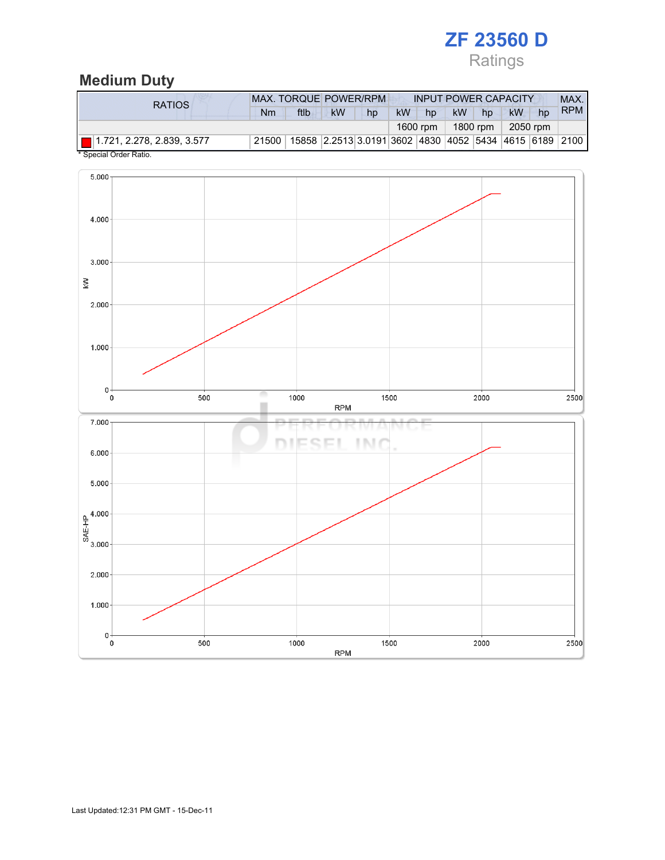# ZF 23560 D

# Ratings

# Medium Duty

| RATIOS. | <b>MAX. TORQUE POWER/RPM</b> | <b>INPUT POWER CAPACITY</b> |                                                        |    |           |          |           | MAX.     |           |    |            |
|---------|------------------------------|-----------------------------|--------------------------------------------------------|----|-----------|----------|-----------|----------|-----------|----|------------|
|         | Nm                           | ftlb                        | <b>kW</b>                                              | hp | <b>kW</b> | hp       | <b>kW</b> | hp       | <b>kW</b> | hp | <b>RPM</b> |
|         |                              |                             |                                                        |    |           | 1600 rpm |           | 1800 rpm | 2050 rpm  |    |            |
|         | 21500                        |                             | 15858 2.2513 3.0191 3602 4830 4052 5434 4615 6189 2100 |    |           |          |           |          |           |    |            |

Special Order Ratio.

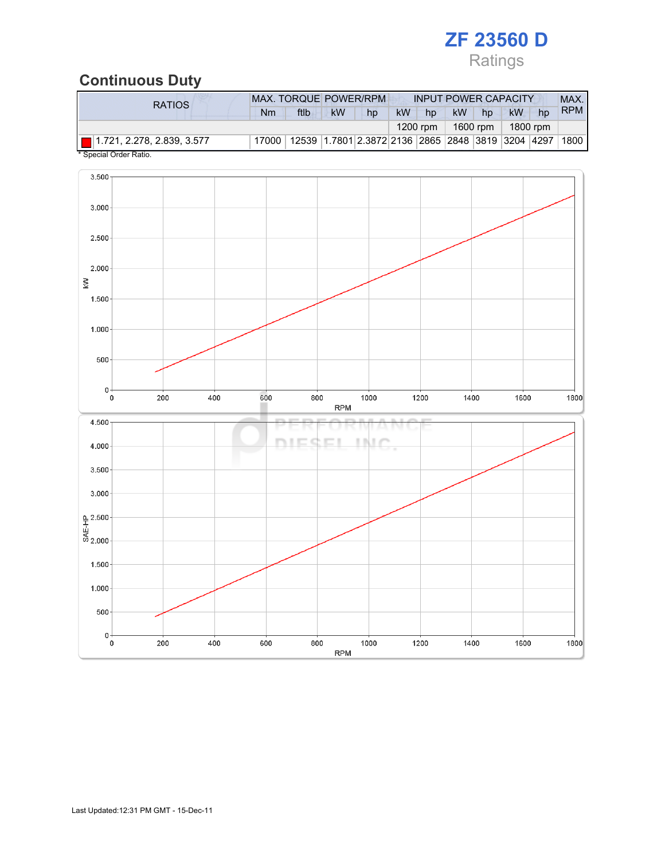# ZF 23560 D Ratings

# Continuous Duty

| RATIOS                       | <b>MAX. TORQUE POWER/RPM</b> |                                                         |           |    |           | <b>INPUT POWER CAPACITY</b> |           |          |           |    |            |
|------------------------------|------------------------------|---------------------------------------------------------|-----------|----|-----------|-----------------------------|-----------|----------|-----------|----|------------|
|                              | Nm                           | ftlb                                                    | <b>kW</b> | hp | <b>kW</b> | hp                          | <b>kW</b> | hp       | <b>kW</b> | hp | <b>RPM</b> |
|                              |                              |                                                         |           |    |           | $1200$ rpm                  |           | 1600 rpm | 1800 rpm  |    |            |
| ■ 1.721, 2.278, 2.839, 3.577 | 17000                        | 12539  1.7801 2.3872 2136  2865  2848  3819  3204  4297 |           |    |           |                             |           |          |           |    | 1800       |

Special Order Ratio.

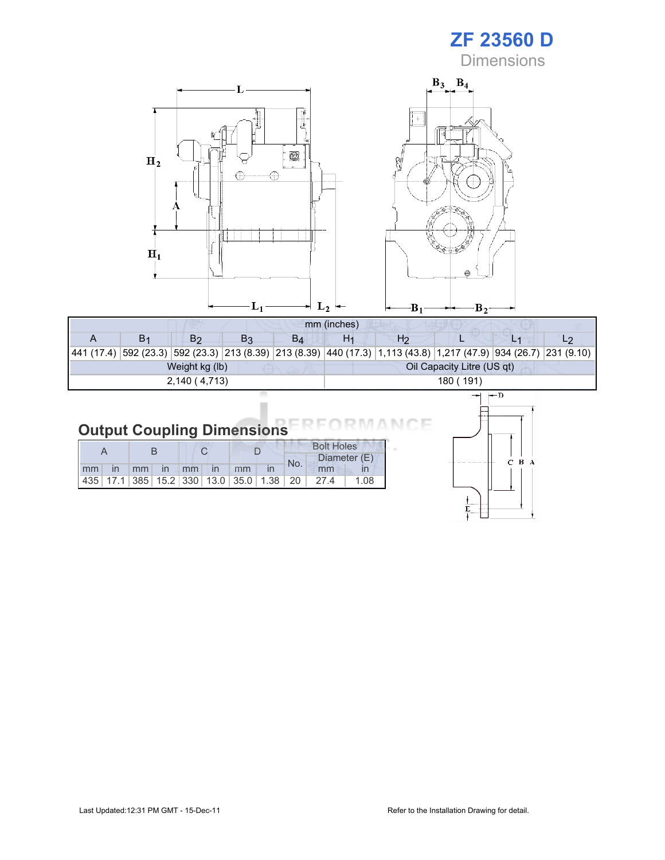